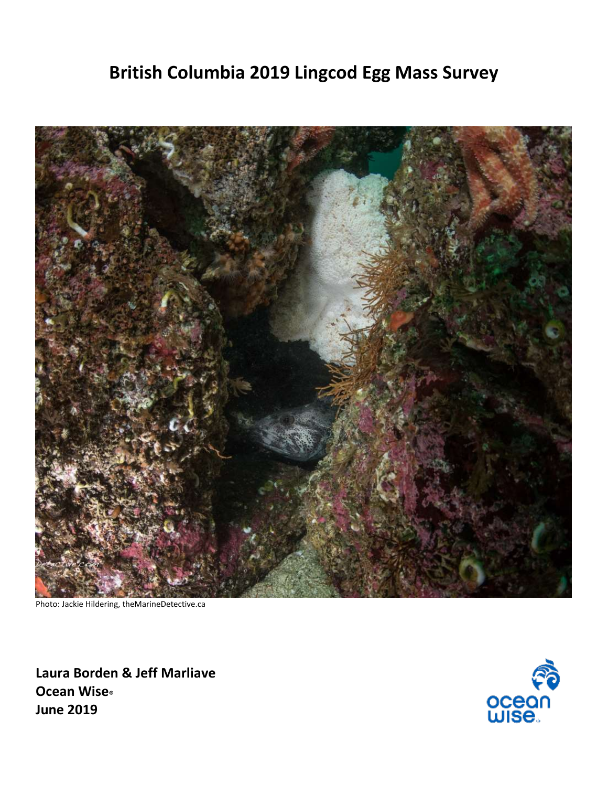# **British Columbia 2019 Lingcod Egg Mass Survey**



Photo: Jackie Hildering, theMarineDetective.ca

**Laura Borden & Jeff Marliave Ocean Wise® June 2019**

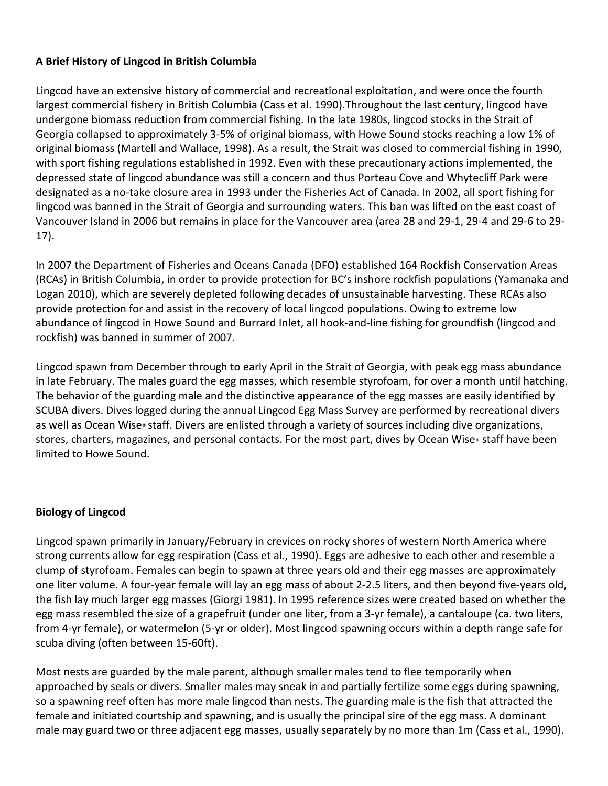### **A Brief History of Lingcod in British Columbia**

Lingcod have an extensive history of commercial and recreational exploitation, and were once the fourth largest commercial fishery in British Columbia (Cass et al. 1990).Throughout the last century, lingcod have undergone biomass reduction from commercial fishing. In the late 1980s, lingcod stocks in the Strait of Georgia collapsed to approximately 3-5% of original biomass, with Howe Sound stocks reaching a low 1% of original biomass (Martell and Wallace, 1998). As a result, the Strait was closed to commercial fishing in 1990, with sport fishing regulations established in 1992. Even with these precautionary actions implemented, the depressed state of lingcod abundance was still a concern and thus Porteau Cove and Whytecliff Park were designated as a no-take closure area in 1993 under the Fisheries Act of Canada. In 2002, all sport fishing for lingcod was banned in the Strait of Georgia and surrounding waters. This ban was lifted on the east coast of Vancouver Island in 2006 but remains in place for the Vancouver area (area 28 and 29-1, 29-4 and 29-6 to 29- 17).

In 2007 the Department of Fisheries and Oceans Canada (DFO) established 164 Rockfish Conservation Areas (RCAs) in British Columbia, in order to provide protection for BC's inshore rockfish populations (Yamanaka and Logan 2010), which are severely depleted following decades of unsustainable harvesting. These RCAs also provide protection for and assist in the recovery of local lingcod populations. Owing to extreme low abundance of lingcod in Howe Sound and Burrard Inlet, all hook-and-line fishing for groundfish (lingcod and rockfish) was banned in summer of 2007.

Lingcod spawn from December through to early April in the Strait of Georgia, with peak egg mass abundance in late February. The males guard the egg masses, which resemble styrofoam, for over a month until hatching. The behavior of the guarding male and the distinctive appearance of the egg masses are easily identified by SCUBA divers. Dives logged during the annual Lingcod Egg Mass Survey are performed by recreational divers as well as Ocean Wise® staff. Divers are enlisted through a variety of sources including dive organizations, stores, charters, magazines, and personal contacts. For the most part, dives by Ocean Wise® staff have been limited to Howe Sound.

### **Biology of Lingcod**

Lingcod spawn primarily in January/February in crevices on rocky shores of western North America where strong currents allow for egg respiration (Cass et al., 1990). Eggs are adhesive to each other and resemble a clump of styrofoam. Females can begin to spawn at three years old and their egg masses are approximately one liter volume. A four-year female will lay an egg mass of about 2-2.5 liters, and then beyond five-years old, the fish lay much larger egg masses (Giorgi 1981). In 1995 reference sizes were created based on whether the egg mass resembled the size of a grapefruit (under one liter, from a 3-yr female), a cantaloupe (ca. two liters, from 4-yr female), or watermelon (5-yr or older). Most lingcod spawning occurs within a depth range safe for scuba diving (often between 15-60ft).

Most nests are guarded by the male parent, although smaller males tend to flee temporarily when approached by seals or divers. Smaller males may sneak in and partially fertilize some eggs during spawning, so a spawning reef often has more male lingcod than nests. The guarding male is the fish that attracted the female and initiated courtship and spawning, and is usually the principal sire of the egg mass. A dominant male may guard two or three adjacent egg masses, usually separately by no more than 1m (Cass et al., 1990).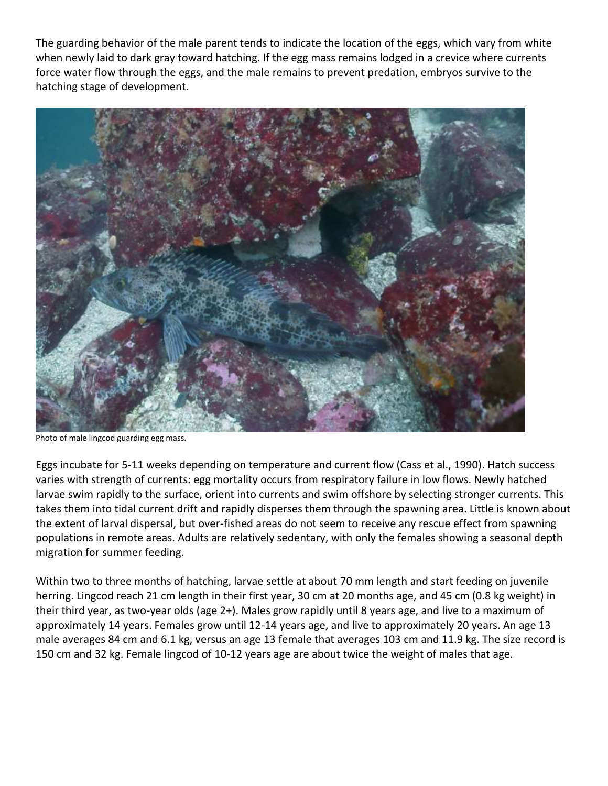The guarding behavior of the male parent tends to indicate the location of the eggs, which vary from white when newly laid to dark gray toward hatching. If the egg mass remains lodged in a crevice where currents force water flow through the eggs, and the male remains to prevent predation, embryos survive to the hatching stage of development.



Photo of male lingcod guarding egg mass.

Eggs incubate for 5-11 weeks depending on temperature and current flow (Cass et al., 1990). Hatch success varies with strength of currents: egg mortality occurs from respiratory failure in low flows. Newly hatched larvae swim rapidly to the surface, orient into currents and swim offshore by selecting stronger currents. This takes them into tidal current drift and rapidly disperses them through the spawning area. Little is known about the extent of larval dispersal, but over-fished areas do not seem to receive any rescue effect from spawning populations in remote areas. Adults are relatively sedentary, with only the females showing a seasonal depth migration for summer feeding.

Within two to three months of hatching, larvae settle at about 70 mm length and start feeding on juvenile herring. Lingcod reach 21 cm length in their first year, 30 cm at 20 months age, and 45 cm (0.8 kg weight) in their third year, as two-year olds (age 2+). Males grow rapidly until 8 years age, and live to a maximum of approximately 14 years. Females grow until 12-14 years age, and live to approximately 20 years. An age 13 male averages 84 cm and 6.1 kg, versus an age 13 female that averages 103 cm and 11.9 kg. The size record is 150 cm and 32 kg. Female lingcod of 10-12 years age are about twice the weight of males that age.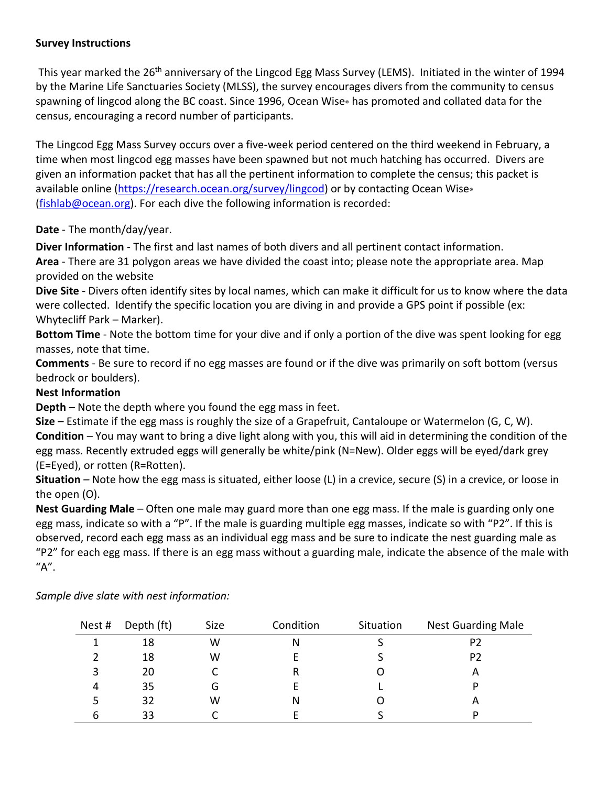### **Survey Instructions**

This year marked the 26<sup>th</sup> anniversary of the Lingcod Egg Mass Survey (LEMS). Initiated in the winter of 1994 by the Marine Life Sanctuaries Society (MLSS), the survey encourages divers from the community to census spawning of lingcod along the BC coast. Since 1996, Ocean Wise® has promoted and collated data for the census, encouraging a record number of participants.

The Lingcod Egg Mass Survey occurs over a five-week period centered on the third weekend in February, a time when most lingcod egg masses have been spawned but not much hatching has occurred. Divers are given an information packet that has all the pertinent information to complete the census; this packet is available online [\(https://research.ocean.org/survey/lingcod\)](https://research.ocean.org/survey/lingcod) or by contacting Ocean Wise® [\(fishlab@ocean.org\)](mailto:fishlab@ocean.org). For each dive the following information is recorded:

# **Date** - The month/day/year.

**Diver Information** - The first and last names of both divers and all pertinent contact information.

**Area** - There are 31 polygon areas we have divided the coast into; please note the appropriate area. Map provided on the website

**Dive Site** - Divers often identify sites by local names, which can make it difficult for us to know where the data were collected. Identify the specific location you are diving in and provide a GPS point if possible (ex: Whytecliff Park – Marker).

**Bottom Time** - Note the bottom time for your dive and if only a portion of the dive was spent looking for egg masses, note that time.

**Comments** - Be sure to record if no egg masses are found or if the dive was primarily on soft bottom (versus bedrock or boulders).

## **Nest Information**

**Depth** *–* Note the depth where you found the egg mass in feet.

**Size** *–* Estimate if the egg mass is roughly the size of a Grapefruit, Cantaloupe or Watermelon (G, C, W). **Condition** *–* You may want to bring a dive light along with you, this will aid in determining the condition of the egg mass. Recently extruded eggs will generally be white/pink (N=New). Older eggs will be eyed/dark grey (E=Eyed), or rotten (R=Rotten).

**Situation** *–* Note how the egg mass is situated, either loose (L) in a crevice, secure (S) in a crevice, or loose in the open (O).

**Nest Guarding Male** *–* Often one male may guard more than one egg mass. If the male is guarding only one egg mass, indicate so with a "P". If the male is guarding multiple egg masses, indicate so with "P2". If this is observed, record each egg mass as an individual egg mass and be sure to indicate the nest guarding male as "P2" for each egg mass. If there is an egg mass without a guarding male, indicate the absence of the male with "A".

| Nest #    | Depth (ft) | Size | Condition | Situation | <b>Nest Guarding Male</b> |  |
|-----------|------------|------|-----------|-----------|---------------------------|--|
|           | 18         | W    |           |           | P2                        |  |
|           | 18         | w    |           |           | P2                        |  |
|           | 20         |      |           |           | A                         |  |
| $\Lambda$ | 35         | G    |           |           |                           |  |
|           | 32         | w    | N         |           | А                         |  |
| b         | 33         |      |           |           | D                         |  |

*Sample dive slate with nest information:*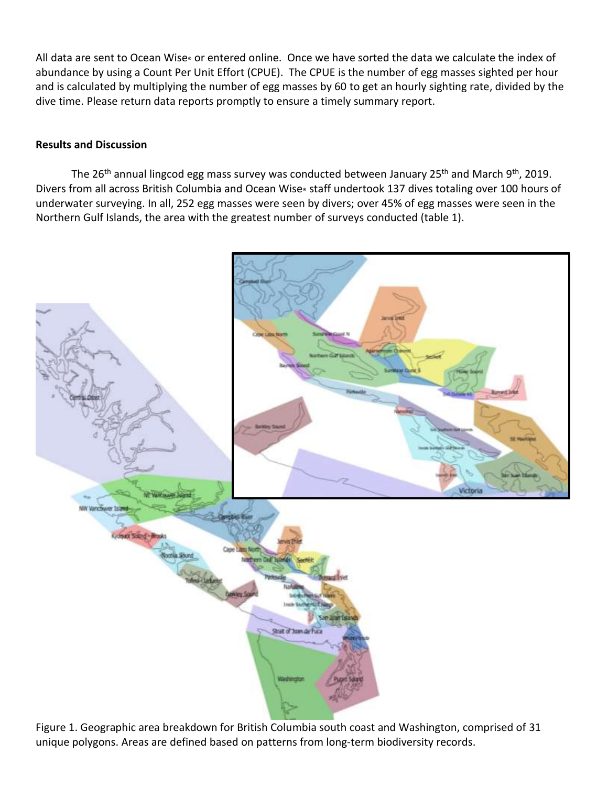All data are sent to Ocean Wise® or entered online. Once we have sorted the data we calculate the index of abundance by using a Count Per Unit Effort (CPUE). The CPUE is the number of egg masses sighted per hour and is calculated by multiplying the number of egg masses by 60 to get an hourly sighting rate, divided by the dive time. Please return data reports promptly to ensure a timely summary report.

#### **Results and Discussion**

The 26<sup>th</sup> annual lingcod egg mass survey was conducted between January 25<sup>th</sup> and March 9<sup>th</sup>, 2019. Divers from all across British Columbia and Ocean Wise® staff undertook 137 dives totaling over 100 hours of underwater surveying. In all, 252 egg masses were seen by divers; over 45% of egg masses were seen in the Northern Gulf Islands, the area with the greatest number of surveys conducted (table 1).



Figure 1. Geographic area breakdown for British Columbia south coast and Washington, comprised of 31 unique polygons. Areas are defined based on patterns from long-term biodiversity records.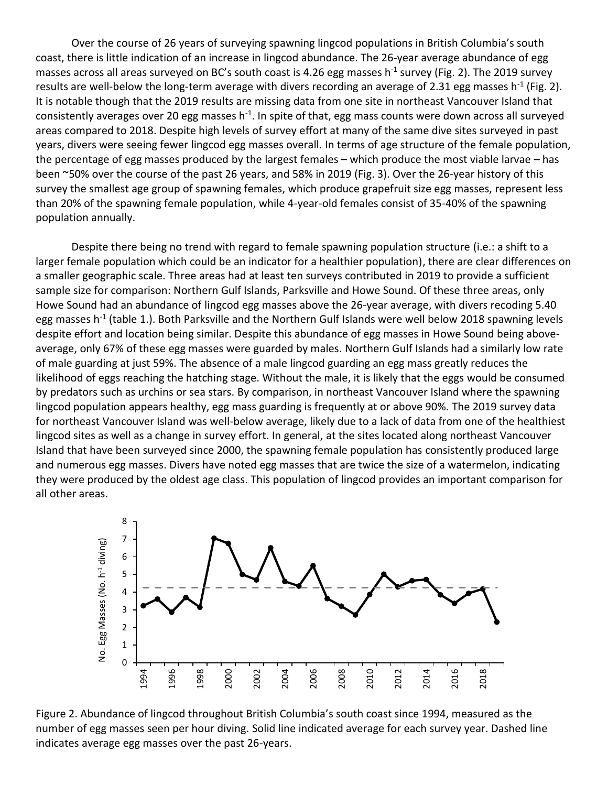Over the course of 26 years of surveying spawning lingcod populations in British Columbia's south coast, there is little indication of an increase in lingcod abundance. The 26-year average abundance of egg masses across all areas surveyed on BC's south coast is 4.26 egg masses h<sup>-1</sup> survey (Fig. 2). The 2019 survey results are well-below the long-term average with divers recording an average of 2.31 egg masses h<sup>-1</sup> (Fig. 2). It is notable though that the 2019 results are missing data from one site in northeast Vancouver Island that consistently averages over 20 egg masses h<sup>-1</sup>. In spite of that, egg mass counts were down across all surveyed areas compared to 2018. Despite high levels of survey effort at many of the same dive sites surveyed in past years, divers were seeing fewer lingcod egg masses overall. In terms of age structure of the female population, the percentage of egg masses produced by the largest females – which produce the most viable larvae – has been ~50% over the course of the past 26 years, and 58% in 2019 (Fig. 3). Over the 26-year history of this survey the smallest age group of spawning females, which produce grapefruit size egg masses, represent less than 20% of the spawning female population, while 4-year-old females consist of 35-40% of the spawning population annually.

Despite there being no trend with regard to female spawning population structure (i.e.: a shift to a larger female population which could be an indicator for a healthier population), there are clear differences on a smaller geographic scale. Three areas had at least ten surveys contributed in 2019 to provide a sufficient sample size for comparison: Northern Gulf Islands, Parksville and Howe Sound. Of these three areas, only Howe Sound had an abundance of lingcod egg masses above the 26-year average, with divers recoding 5.40 egg masses h<sup>-1</sup> (table 1.). Both Parksville and the Northern Gulf Islands were well below 2018 spawning levels despite effort and location being similar. Despite this abundance of egg masses in Howe Sound being aboveaverage, only 67% of these egg masses were guarded by males. Northern Gulf Islands had a similarly low rate of male guarding at just 59%. The absence of a male lingcod guarding an egg mass greatly reduces the likelihood of eggs reaching the hatching stage. Without the male, it is likely that the eggs would be consumed by predators such as urchins or sea stars. By comparison, in northeast Vancouver Island where the spawning lingcod population appears healthy, egg mass guarding is frequently at or above 90%. The 2019 survey data for northeast Vancouver Island was well-below average, likely due to a lack of data from one of the healthiest lingcod sites as well as a change in survey effort. In general, at the sites located along northeast Vancouver Island that have been surveyed since 2000, the spawning female population has consistently produced large and numerous egg masses. Divers have noted egg masses that are twice the size of a watermelon, indicating they were produced by the oldest age class. This population of lingcod provides an important comparison for all other areas.



Figure 2. Abundance of lingcod throughout British Columbia's south coast since 1994, measured as the number of egg masses seen per hour diving. Solid line indicated average for each survey year. Dashed line indicates average egg masses over the past 26-years.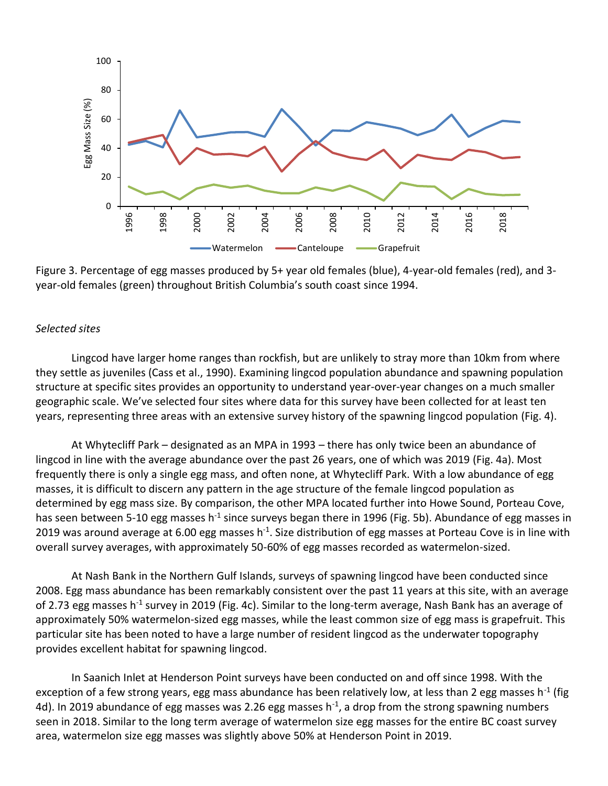

Figure 3. Percentage of egg masses produced by 5+ year old females (blue), 4-year-old females (red), and 3 year-old females (green) throughout British Columbia's south coast since 1994.

#### *Selected sites*

Lingcod have larger home ranges than rockfish, but are unlikely to stray more than 10km from where they settle as juveniles (Cass et al., 1990). Examining lingcod population abundance and spawning population structure at specific sites provides an opportunity to understand year-over-year changes on a much smaller geographic scale. We've selected four sites where data for this survey have been collected for at least ten years, representing three areas with an extensive survey history of the spawning lingcod population (Fig. 4).

At Whytecliff Park – designated as an MPA in 1993 – there has only twice been an abundance of lingcod in line with the average abundance over the past 26 years, one of which was 2019 (Fig. 4a). Most frequently there is only a single egg mass, and often none, at Whytecliff Park. With a low abundance of egg masses, it is difficult to discern any pattern in the age structure of the female lingcod population as determined by egg mass size. By comparison, the other MPA located further into Howe Sound, Porteau Cove, has seen between 5-10 egg masses h<sup>-1</sup> since surveys began there in 1996 (Fig. 5b). Abundance of egg masses in 2019 was around average at 6.00 egg masses h<sup>-1</sup>. Size distribution of egg masses at Porteau Cove is in line with overall survey averages, with approximately 50-60% of egg masses recorded as watermelon-sized.

At Nash Bank in the Northern Gulf Islands, surveys of spawning lingcod have been conducted since 2008. Egg mass abundance has been remarkably consistent over the past 11 years at this site, with an average of 2.73 egg masses h<sup>-1</sup> survey in 2019 (Fig. 4c). Similar to the long-term average, Nash Bank has an average of approximately 50% watermelon-sized egg masses, while the least common size of egg mass is grapefruit. This particular site has been noted to have a large number of resident lingcod as the underwater topography provides excellent habitat for spawning lingcod.

In Saanich Inlet at Henderson Point surveys have been conducted on and off since 1998. With the exception of a few strong years, egg mass abundance has been relatively low, at less than 2 egg masses h<sup>-1</sup> (fig 4d). In 2019 abundance of egg masses was 2.26 egg masses h<sup>-1</sup>, a drop from the strong spawning numbers seen in 2018. Similar to the long term average of watermelon size egg masses for the entire BC coast survey area, watermelon size egg masses was slightly above 50% at Henderson Point in 2019.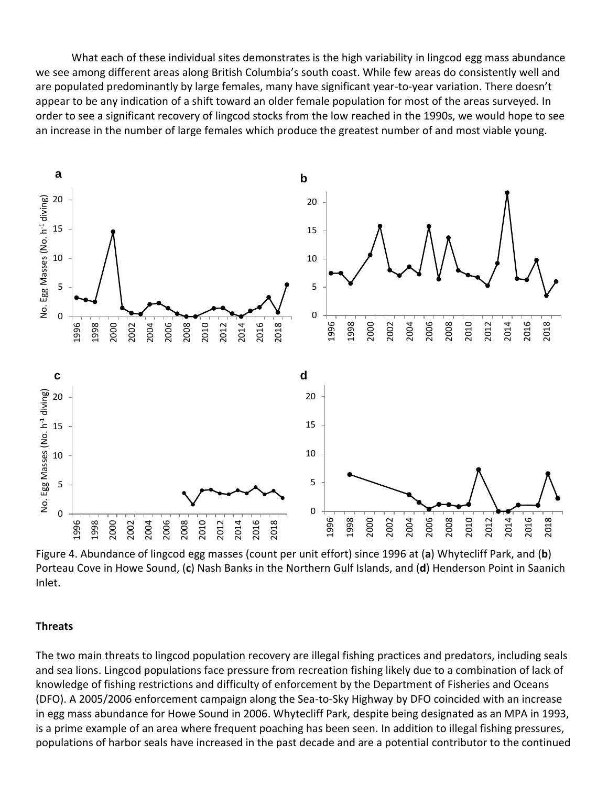What each of these individual sites demonstrates is the high variability in lingcod egg mass abundance we see among different areas along British Columbia's south coast. While few areas do consistently well and are populated predominantly by large females, many have significant year-to-year variation. There doesn't appear to be any indication of a shift toward an older female population for most of the areas surveyed. In order to see a significant recovery of lingcod stocks from the low reached in the 1990s, we would hope to see an increase in the number of large females which produce the greatest number of and most viable young.



Figure 4. Abundance of lingcod egg masses (count per unit effort) since 1996 at (**a**) Whytecliff Park, and (**b**) Porteau Cove in Howe Sound, (**c**) Nash Banks in the Northern Gulf Islands, and (**d**) Henderson Point in Saanich Inlet.

#### **Threats**

The two main threats to lingcod population recovery are illegal fishing practices and predators, including seals and sea lions. Lingcod populations face pressure from recreation fishing likely due to a combination of lack of knowledge of fishing restrictions and difficulty of enforcement by the Department of Fisheries and Oceans (DFO). A 2005/2006 enforcement campaign along the Sea-to-Sky Highway by DFO coincided with an increase in egg mass abundance for Howe Sound in 2006. Whytecliff Park, despite being designated as an MPA in 1993, is a prime example of an area where frequent poaching has been seen. In addition to illegal fishing pressures, populations of harbor seals have increased in the past decade and are a potential contributor to the continued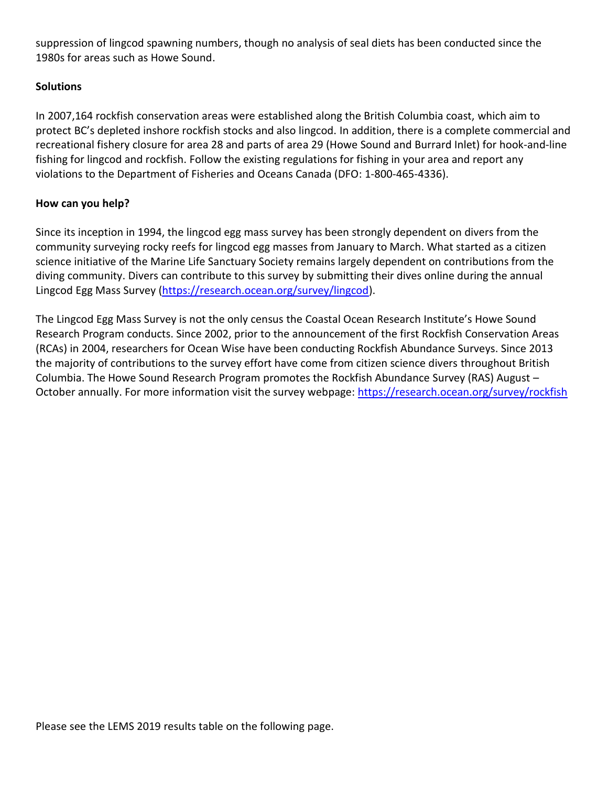suppression of lingcod spawning numbers, though no analysis of seal diets has been conducted since the 1980s for areas such as Howe Sound.

### **Solutions**

In 2007,164 rockfish conservation areas were established along the British Columbia coast, which aim to protect BC's depleted inshore rockfish stocks and also lingcod. In addition, there is a complete commercial and recreational fishery closure for area 28 and parts of area 29 (Howe Sound and Burrard Inlet) for hook-and-line fishing for lingcod and rockfish. Follow the existing regulations for fishing in your area and report any violations to the Department of Fisheries and Oceans Canada (DFO: 1-800-465-4336).

### **How can you help?**

Since its inception in 1994, the lingcod egg mass survey has been strongly dependent on divers from the community surveying rocky reefs for lingcod egg masses from January to March. What started as a citizen science initiative of the Marine Life Sanctuary Society remains largely dependent on contributions from the diving community. Divers can contribute to this survey by submitting their dives online during the annual Lingcod Egg Mass Survey [\(https://research.ocean.org/survey/lingcod\)](https://research.ocean.org/survey/lingcod).

The Lingcod Egg Mass Survey is not the only census the Coastal Ocean Research Institute's Howe Sound Research Program conducts. Since 2002, prior to the announcement of the first Rockfish Conservation Areas (RCAs) in 2004, researchers for Ocean Wise have been conducting Rockfish Abundance Surveys. Since 2013 the majority of contributions to the survey effort have come from citizen science divers throughout British Columbia. The Howe Sound Research Program promotes the Rockfish Abundance Survey (RAS) August – October annually. For more information visit the survey webpage:<https://research.ocean.org/survey/rockfish>